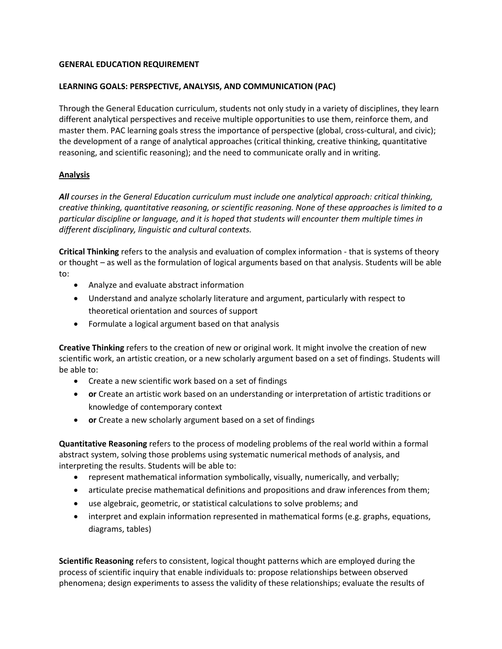## **GENERAL EDUCATION REQUIREMENT**

### **LEARNING GOALS: PERSPECTIVE, ANALYSIS, AND COMMUNICATION (PAC)**

Through the General Education curriculum, students not only study in a variety of disciplines, they learn different analytical perspectives and receive multiple opportunities to use them, reinforce them, and master them. PAC learning goals stress the importance of perspective (global, cross-cultural, and civic); the development of a range of analytical approaches (critical thinking, creative thinking, quantitative reasoning, and scientific reasoning); and the need to communicate orally and in writing.

## **Analysis**

*All courses in the General Education curriculum must include one analytical approach: critical thinking, creative thinking, quantitative reasoning, or scientific reasoning. None of these approaches is limited to a particular discipline or language, and it is hoped that students will encounter them multiple times in different disciplinary, linguistic and cultural contexts.*

**Critical Thinking** refers to the analysis and evaluation of complex information - that is systems of theory or thought – as well as the formulation of logical arguments based on that analysis. Students will be able to:

- Analyze and evaluate abstract information
- Understand and analyze scholarly literature and argument, particularly with respect to theoretical orientation and sources of support
- Formulate a logical argument based on that analysis

**Creative Thinking** refers to the creation of new or original work. It might involve the creation of new scientific work, an artistic creation, or a new scholarly argument based on a set of findings. Students will be able to:

- Create a new scientific work based on a set of findings
- **or** Create an artistic work based on an understanding or interpretation of artistic traditions or knowledge of contemporary context
- **or** Create a new scholarly argument based on a set of findings

**Quantitative Reasoning** refers to the process of modeling problems of the real world within a formal abstract system, solving those problems using systematic numerical methods of analysis, and interpreting the results. Students will be able to:

- represent mathematical information symbolically, visually, numerically, and verbally;
- articulate precise mathematical definitions and propositions and draw inferences from them;
- use algebraic, geometric, or statistical calculations to solve problems; and
- interpret and explain information represented in mathematical forms (e.g. graphs, equations, diagrams, tables)

**Scientific Reasoning** refers to consistent, logical thought patterns which are employed during the process of scientific inquiry that enable individuals to: propose relationships between observed phenomena; design experiments to assess the validity of these relationships; evaluate the results of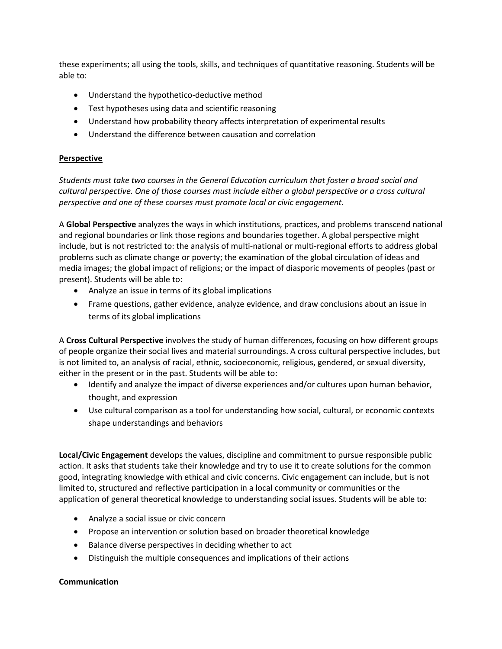these experiments; all using the tools, skills, and techniques of quantitative reasoning. Students will be able to:

- Understand the hypothetico-deductive method
- Test hypotheses using data and scientific reasoning
- Understand how probability theory affects interpretation of experimental results
- Understand the difference between causation and correlation

# **Perspective**

*Students must take two courses in the General Education curriculum that foster a broad social and cultural perspective. One of those courses must include either a global perspective or a cross cultural perspective and one of these courses must promote local or civic engagement.*

A **Global Perspective** analyzes the ways in which institutions, practices, and problems transcend national and regional boundaries or link those regions and boundaries together. A global perspective might include, but is not restricted to: the analysis of multi-national or multi-regional efforts to address global problems such as climate change or poverty; the examination of the global circulation of ideas and media images; the global impact of religions; or the impact of diasporic movements of peoples (past or present). Students will be able to:

- Analyze an issue in terms of its global implications
- Frame questions, gather evidence, analyze evidence, and draw conclusions about an issue in terms of its global implications

A **Cross Cultural Perspective** involves the study of human differences, focusing on how different groups of people organize their social lives and material surroundings. A cross cultural perspective includes, but is not limited to, an analysis of racial, ethnic, socioeconomic, religious, gendered, or sexual diversity, either in the present or in the past. Students will be able to:

- Identify and analyze the impact of diverse experiences and/or cultures upon human behavior, thought, and expression
- Use cultural comparison as a tool for understanding how social, cultural, or economic contexts shape understandings and behaviors

**Local/Civic Engagement** develops the values, discipline and commitment to pursue responsible public action. It asks that students take their knowledge and try to use it to create solutions for the common good, integrating knowledge with ethical and civic concerns. Civic engagement can include, but is not limited to, structured and reflective participation in a local community or communities or the application of general theoretical knowledge to understanding social issues. Students will be able to:

- Analyze a social issue or civic concern
- Propose an intervention or solution based on broader theoretical knowledge
- Balance diverse perspectives in deciding whether to act
- Distinguish the multiple consequences and implications of their actions

### **Communication**